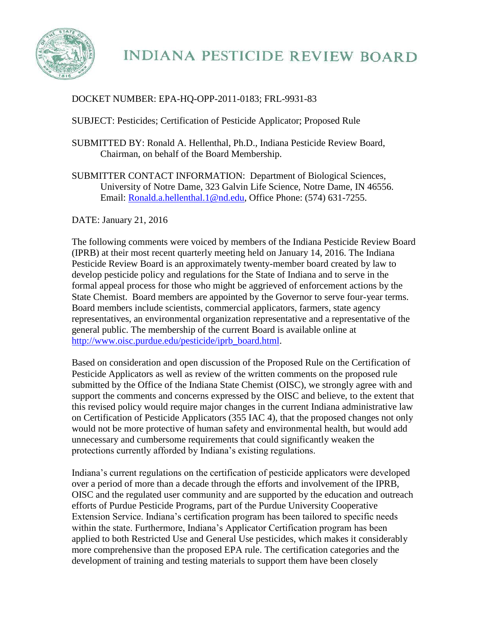

## DOCKET NUMBER: EPA-HQ-OPP-2011-0183; FRL-9931-83

SUBJECT: Pesticides; Certification of Pesticide Applicator; Proposed Rule

- SUBMITTED BY: Ronald A. Hellenthal, Ph.D., Indiana Pesticide Review Board, Chairman, on behalf of the Board Membership.
- SUBMITTER CONTACT INFORMATION: Department of Biological Sciences, University of Notre Dame, 323 Galvin Life Science, Notre Dame, IN 46556. Email: [Ronald.a.hellenthal.1@nd.edu,](mailto:Ronald.a.hellenthal.1@nd.edu) Office Phone: (574) 631-7255.

DATE: January 21, 2016

The following comments were voiced by members of the Indiana Pesticide Review Board (IPRB) at their most recent quarterly meeting held on January 14, 2016. The Indiana Pesticide Review Board is an approximately twenty-member board created by law to develop pesticide policy and regulations for the State of Indiana and to serve in the formal appeal process for those who might be aggrieved of enforcement actions by the State Chemist. Board members are appointed by the Governor to serve four-year terms. Board members include scientists, commercial applicators, farmers, state agency representatives, an environmental organization representative and a representative of the general public. The membership of the current Board is available online at [http://www.oisc.purdue.edu/pesticide/iprb\\_board.html.](http://www.oisc.purdue.edu/pesticide/iprb_board.html)

Based on consideration and open discussion of the Proposed Rule on the Certification of Pesticide Applicators as well as review of the written comments on the proposed rule submitted by the Office of the Indiana State Chemist (OISC), we strongly agree with and support the comments and concerns expressed by the OISC and believe, to the extent that this revised policy would require major changes in the current Indiana administrative law on Certification of Pesticide Applicators (355 IAC 4), that the proposed changes not only would not be more protective of human safety and environmental health, but would add unnecessary and cumbersome requirements that could significantly weaken the protections currently afforded by Indiana's existing regulations.

Indiana's current regulations on the certification of pesticide applicators were developed over a period of more than a decade through the efforts and involvement of the IPRB, OISC and the regulated user community and are supported by the education and outreach efforts of Purdue Pesticide Programs, part of the Purdue University Cooperative Extension Service. Indiana's certification program has been tailored to specific needs within the state. Furthermore, Indiana's Applicator Certification program has been applied to both Restricted Use and General Use pesticides, which makes it considerably more comprehensive than the proposed EPA rule. The certification categories and the development of training and testing materials to support them have been closely